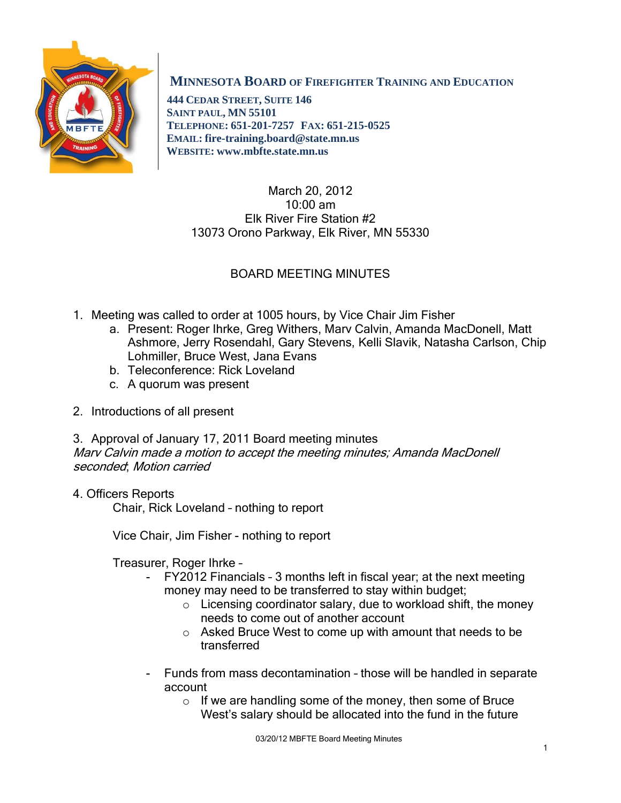

# **MINNESOTA BOARD OF FIREFIGHTER TRAINING AND EDUCATION**

 **444 CEDAR STREET, SUITE 146 SAINT PAUL, MN 55101 TELEPHONE: 651-201-7257 FAX: 651-215-0525 EMAIL: fire-training.board@state.mn.us WEBSITE: www.mbfte.state.mn.us**

## March 20, 2012 10:00 am Elk River Fire Station #2 13073 Orono Parkway, Elk River, MN 55330

# BOARD MEETING MINUTES

- 1. Meeting was called to order at 1005 hours, by Vice Chair Jim Fisher
	- a. Present: Roger Ihrke, Greg Withers, Marv Calvin, Amanda MacDonell, Matt Ashmore, Jerry Rosendahl, Gary Stevens, Kelli Slavik, Natasha Carlson, Chip Lohmiller, Bruce West, Jana Evans
	- b. Teleconference: Rick Loveland
	- c. A quorum was present
- 2. Introductions of all present

3. Approval of January 17, 2011 Board meeting minutes Marv Calvin made a motion to accept the meeting minutes; Amanda MacDonell seconded; Motion carried

# 4. Officers Reports

Chair, Rick Loveland – nothing to report

Vice Chair, Jim Fisher - nothing to report

Treasurer, Roger Ihrke –

- FY2012 Financials 3 months left in fiscal year; at the next meeting money may need to be transferred to stay within budget;
	- $\circ$  Licensing coordinator salary, due to workload shift, the money needs to come out of another account
	- o Asked Bruce West to come up with amount that needs to be transferred
- Funds from mass decontamination those will be handled in separate account
	- o If we are handling some of the money, then some of Bruce West's salary should be allocated into the fund in the future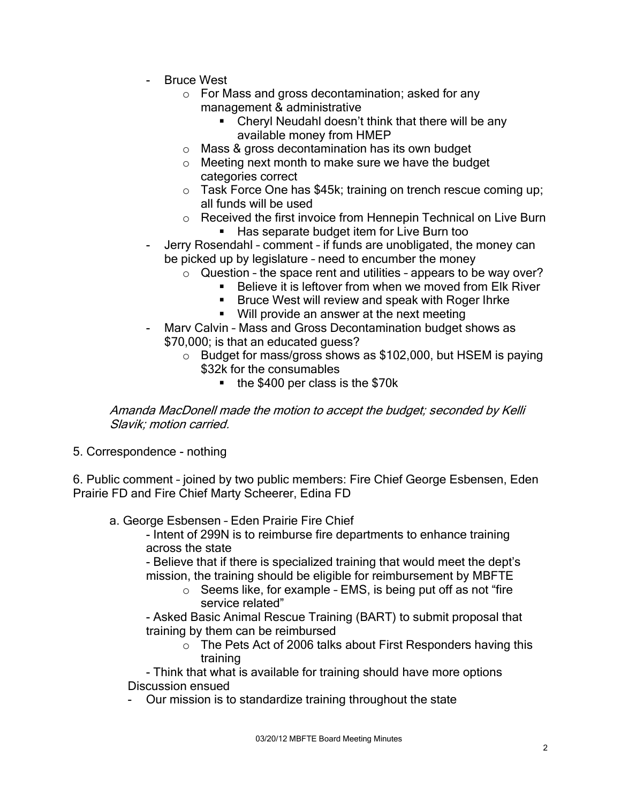- **Bruce West** 
	- o For Mass and gross decontamination; asked for any management & administrative
		- **EXECT** Cheryl Neudahl doesn't think that there will be any available money from HMEP
	- o Mass & gross decontamination has its own budget
	- o Meeting next month to make sure we have the budget categories correct
	- o Task Force One has \$45k; training on trench rescue coming up; all funds will be used
	- o Received the first invoice from Hennepin Technical on Live Burn **Has separate budget item for Live Burn too**
- Jerry Rosendahl comment if funds are unobligated, the money can be picked up by legislature – need to encumber the money
	- $\circ$  Question the space rent and utilities appears to be way over?
		- Believe it is leftover from when we moved from Elk River
			- **Bruce West will review and speak with Roger Ihrke**
			- **Will provide an answer at the next meeting**
- Marv Calvin Mass and Gross Decontamination budget shows as \$70,000; is that an educated guess?
	- o Budget for mass/gross shows as \$102,000, but HSEM is paying \$32k for the consumables
		- the \$400 per class is the \$70k

Amanda MacDonell made the motion to accept the budget; seconded by Kelli Slavik; motion carried.

5. Correspondence - nothing

6. Public comment – joined by two public members: Fire Chief George Esbensen, Eden Prairie FD and Fire Chief Marty Scheerer, Edina FD

a. George Esbensen – Eden Prairie Fire Chief

- Intent of 299N is to reimburse fire departments to enhance training across the state

- Believe that if there is specialized training that would meet the dept's mission, the training should be eligible for reimbursement by MBFTE

o Seems like, for example – EMS, is being put off as not "fire service related"

- Asked Basic Animal Rescue Training (BART) to submit proposal that training by them can be reimbursed

o The Pets Act of 2006 talks about First Responders having this training

- Think that what is available for training should have more options Discussion ensued

Our mission is to standardize training throughout the state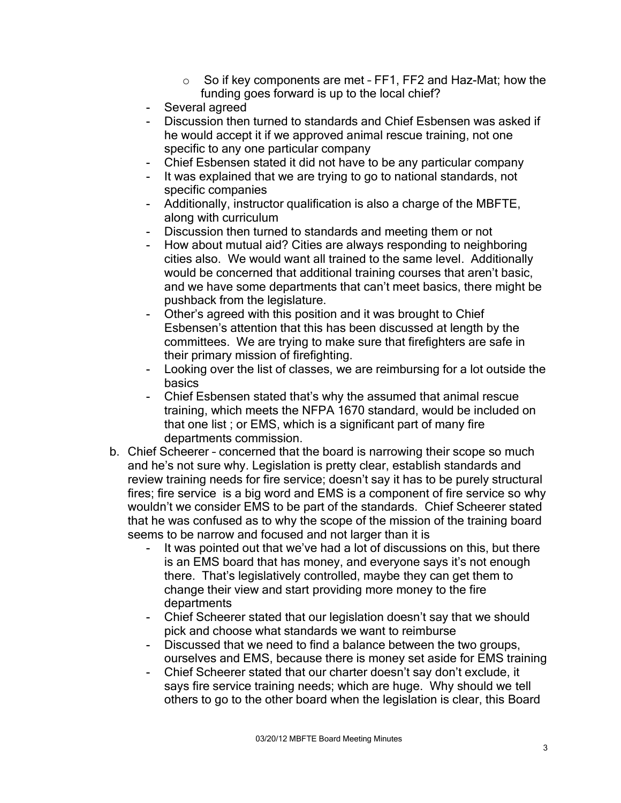- o So if key components are met FF1, FF2 and Haz-Mat; how the funding goes forward is up to the local chief?
- Several agreed
- Discussion then turned to standards and Chief Esbensen was asked if he would accept it if we approved animal rescue training, not one specific to any one particular company
- Chief Esbensen stated it did not have to be any particular company
- It was explained that we are trying to go to national standards, not specific companies
- Additionally, instructor qualification is also a charge of the MBFTE, along with curriculum
- Discussion then turned to standards and meeting them or not
- How about mutual aid? Cities are always responding to neighboring cities also. We would want all trained to the same level. Additionally would be concerned that additional training courses that aren't basic, and we have some departments that can't meet basics, there might be pushback from the legislature.
- Other's agreed with this position and it was brought to Chief Esbensen's attention that this has been discussed at length by the committees. We are trying to make sure that firefighters are safe in their primary mission of firefighting.
- Looking over the list of classes, we are reimbursing for a lot outside the basics
- Chief Esbensen stated that's why the assumed that animal rescue training, which meets the NFPA 1670 standard, would be included on that one list ; or EMS, which is a significant part of many fire departments commission.
- b. Chief Scheerer concerned that the board is narrowing their scope so much and he's not sure why. Legislation is pretty clear, establish standards and review training needs for fire service; doesn't say it has to be purely structural fires; fire service is a big word and EMS is a component of fire service so why wouldn't we consider EMS to be part of the standards. Chief Scheerer stated that he was confused as to why the scope of the mission of the training board seems to be narrow and focused and not larger than it is
	- It was pointed out that we've had a lot of discussions on this, but there is an EMS board that has money, and everyone says it's not enough there. That's legislatively controlled, maybe they can get them to change their view and start providing more money to the fire departments
	- Chief Scheerer stated that our legislation doesn't say that we should pick and choose what standards we want to reimburse
	- Discussed that we need to find a balance between the two groups, ourselves and EMS, because there is money set aside for EMS training
	- Chief Scheerer stated that our charter doesn't say don't exclude, it says fire service training needs; which are huge. Why should we tell others to go to the other board when the legislation is clear, this Board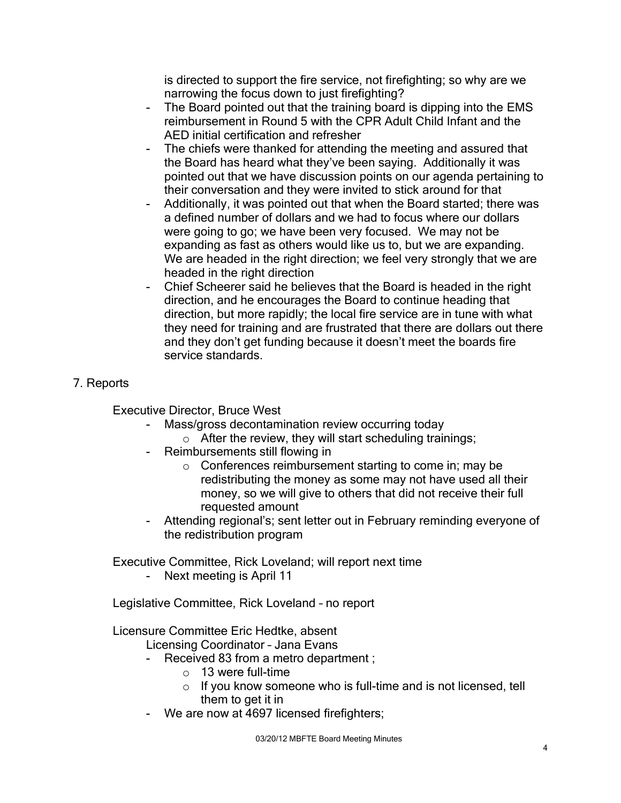is directed to support the fire service, not firefighting; so why are we narrowing the focus down to just firefighting?

- The Board pointed out that the training board is dipping into the EMS reimbursement in Round 5 with the CPR Adult Child Infant and the AED initial certification and refresher
- The chiefs were thanked for attending the meeting and assured that the Board has heard what they've been saying. Additionally it was pointed out that we have discussion points on our agenda pertaining to their conversation and they were invited to stick around for that
- Additionally, it was pointed out that when the Board started; there was a defined number of dollars and we had to focus where our dollars were going to go; we have been very focused. We may not be expanding as fast as others would like us to, but we are expanding. We are headed in the right direction; we feel very strongly that we are headed in the right direction
- Chief Scheerer said he believes that the Board is headed in the right direction, and he encourages the Board to continue heading that direction, but more rapidly; the local fire service are in tune with what they need for training and are frustrated that there are dollars out there and they don't get funding because it doesn't meet the boards fire service standards.
- 7. Reports

Executive Director, Bruce West

- Mass/gross decontamination review occurring today
	- $\circ$  After the review, they will start scheduling trainings;
- Reimbursements still flowing in
	- o Conferences reimbursement starting to come in; may be redistributing the money as some may not have used all their money, so we will give to others that did not receive their full requested amount
- Attending regional's; sent letter out in February reminding everyone of the redistribution program

Executive Committee, Rick Loveland; will report next time

- Next meeting is April 11

Legislative Committee, Rick Loveland – no report

Licensure Committee Eric Hedtke, absent

Licensing Coordinator – Jana Evans

- Received 83 from a metro department ;
	- $\circ$  13 were full-time
	- $\circ$  If you know someone who is full-time and is not licensed, tell them to get it in
- We are now at 4697 licensed firefighters;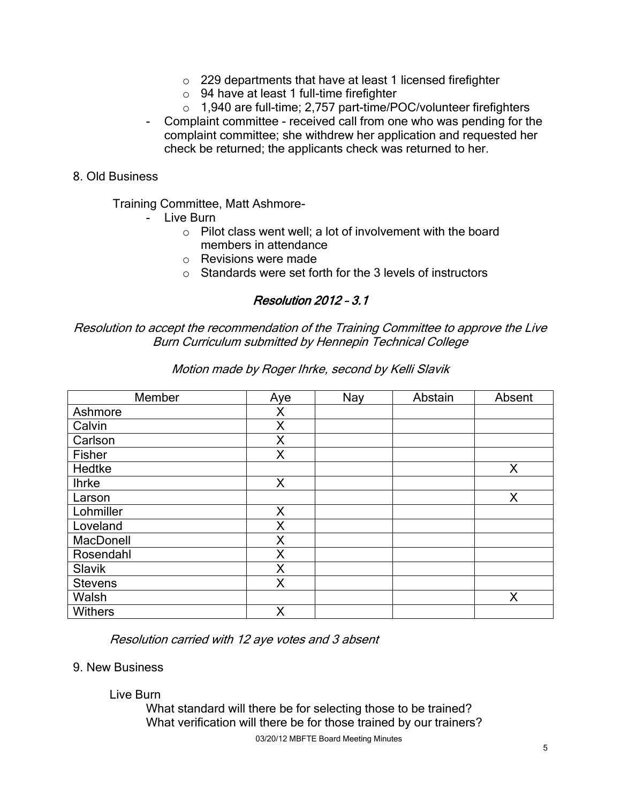- o 229 departments that have at least 1 licensed firefighter
- o 94 have at least 1 full-time firefighter
- o 1,940 are full-time; 2,757 part-time/POC/volunteer firefighters
- Complaint committee received call from one who was pending for the complaint committee; she withdrew her application and requested her check be returned; the applicants check was returned to her.

#### 8. Old Business

Training Committee, Matt Ashmore-

- Live Burn
	- o Pilot class went well; a lot of involvement with the board members in attendance
	- o Revisions were made
	- $\circ$  Standards were set forth for the 3 levels of instructors

## Resolution 2012 – 3.1

### Resolution to accept the recommendation of the Training Committee to approve the Live Burn Curriculum submitted by Hennepin Technical College

| Member         | Aye | Nay | Abstain | Absent |
|----------------|-----|-----|---------|--------|
| Ashmore        | Χ   |     |         |        |
| Calvin         | X   |     |         |        |
| Carlson        | X   |     |         |        |
| Fisher         | X   |     |         |        |
| Hedtke         |     |     |         | X      |
| <b>Ihrke</b>   | X   |     |         |        |
| Larson         |     |     |         | X      |
| Lohmiller      | X   |     |         |        |
| Loveland       | X   |     |         |        |
| MacDonell      | Χ   |     |         |        |
| Rosendahl      | Χ   |     |         |        |
| Slavik         | X   |     |         |        |
| <b>Stevens</b> | Χ   |     |         |        |
| Walsh          |     |     |         | X      |
| Withers        | Χ   |     |         |        |

Motion made by Roger Ihrke, second by Kelli Slavik

Resolution carried with 12 aye votes and 3 absent

#### 9. New Business

Live Burn

What standard will there be for selecting those to be trained? What verification will there be for those trained by our trainers?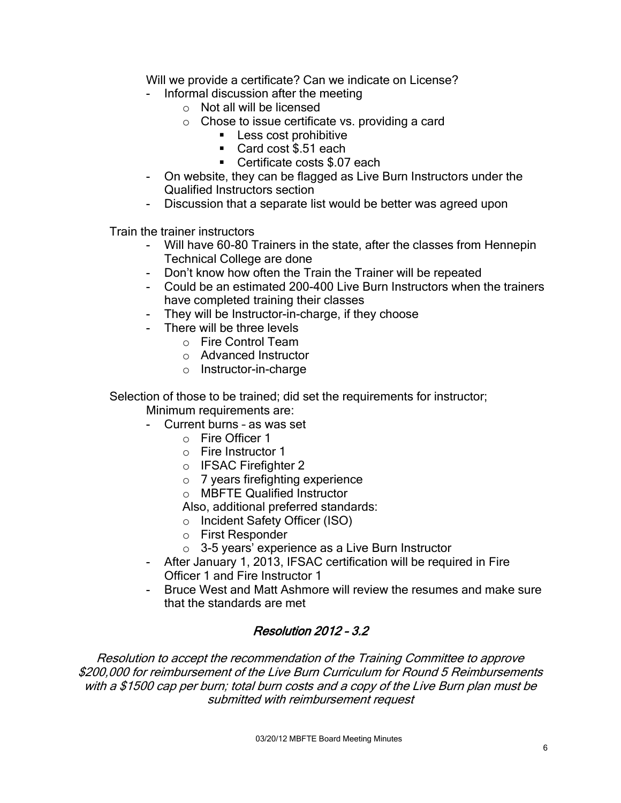Will we provide a certificate? Can we indicate on License?

- Informal discussion after the meeting
	- o Not all will be licensed
	- $\circ$  Chose to issue certificate vs. providing a card
		- **Less cost prohibitive**
		- Card cost \$.51 each
		- **Certificate costs \$.07 each**
- On website, they can be flagged as Live Burn Instructors under the Qualified Instructors section
- Discussion that a separate list would be better was agreed upon

Train the trainer instructors

- Will have 60-80 Trainers in the state, after the classes from Hennepin Technical College are done
- Don't know how often the Train the Trainer will be repeated
- Could be an estimated 200-400 Live Burn Instructors when the trainers have completed training their classes
- They will be Instructor-in-charge, if they choose
- There will be three levels
	- o Fire Control Team
	- o Advanced Instructor
	- o Instructor-in-charge

Selection of those to be trained; did set the requirements for instructor;

Minimum requirements are:

- Current burns as was set
	- o Fire Officer 1
	- o Fire Instructor 1
	- o IFSAC Firefighter 2
	- o 7 years firefighting experience
	- o MBFTE Qualified Instructor

Also, additional preferred standards:

- o Incident Safety Officer (ISO)
- o First Responder
- o 3-5 years' experience as a Live Burn Instructor
- After January 1, 2013, IFSAC certification will be required in Fire Officer 1 and Fire Instructor 1
- Bruce West and Matt Ashmore will review the resumes and make sure that the standards are met

# Resolution 2012 – 3.2

Resolution to accept the recommendation of the Training Committee to approve \$200,000 for reimbursement of the Live Burn Curriculum for Round 5 Reimbursements with a \$1500 cap per burn; total burn costs and a copy of the Live Burn plan must be submitted with reimbursement request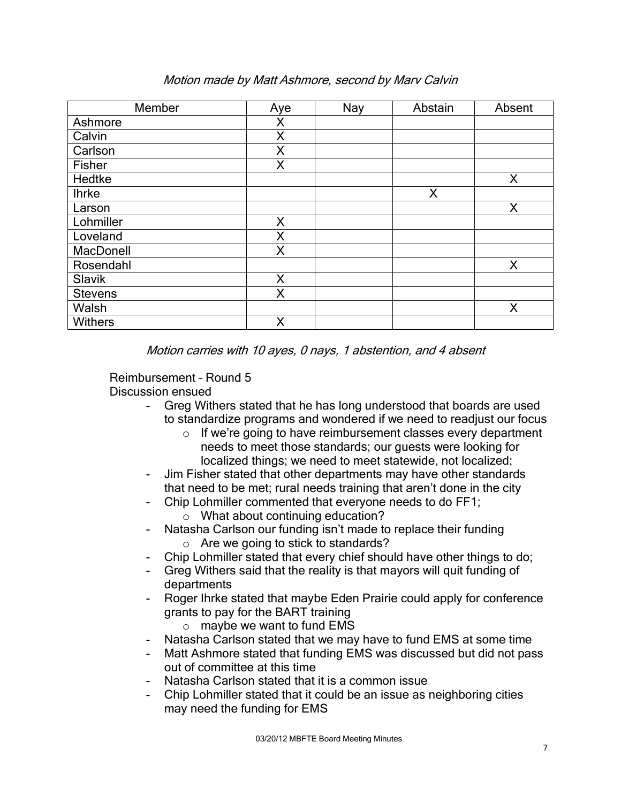| Member         | Aye | Nay | Abstain | Absent |
|----------------|-----|-----|---------|--------|
| Ashmore        | Χ   |     |         |        |
| Calvin         | Χ   |     |         |        |
| Carlson        | X   |     |         |        |
| Fisher         | Χ   |     |         |        |
| Hedtke         |     |     |         | X      |
| <b>Ihrke</b>   |     |     | X       |        |
| Larson         |     |     |         | X      |
| Lohmiller      | X   |     |         |        |
| Loveland       | Χ   |     |         |        |
| MacDonell      | Χ   |     |         |        |
| Rosendahl      |     |     |         | X      |
| Slavik         | Χ   |     |         |        |
| <b>Stevens</b> | Χ   |     |         |        |
| Walsh          |     |     |         | X      |
| Withers        | Χ   |     |         |        |

# Motion made by Matt Ashmore, second by Marv Calvin

Motion carries with 10 ayes, 0 nays, 1 abstention, and 4 absent

Reimbursement – Round 5

Discussion ensued

- Greg Withers stated that he has long understood that boards are used to standardize programs and wondered if we need to readjust our focus
	- o If we're going to have reimbursement classes every department needs to meet those standards; our guests were looking for localized things; we need to meet statewide, not localized;
- Jim Fisher stated that other departments may have other standards that need to be met; rural needs training that aren't done in the city
- Chip Lohmiller commented that everyone needs to do FF1;
	- o What about continuing education?
- Natasha Carlson our funding isn't made to replace their funding
	- o Are we going to stick to standards?
- Chip Lohmiller stated that every chief should have other things to do;
- Greg Withers said that the reality is that mayors will quit funding of departments
- Roger Ihrke stated that maybe Eden Prairie could apply for conference grants to pay for the BART training
	- o maybe we want to fund EMS
- Natasha Carlson stated that we may have to fund EMS at some time
- Matt Ashmore stated that funding EMS was discussed but did not pass out of committee at this time
- Natasha Carlson stated that it is a common issue
- Chip Lohmiller stated that it could be an issue as neighboring cities may need the funding for EMS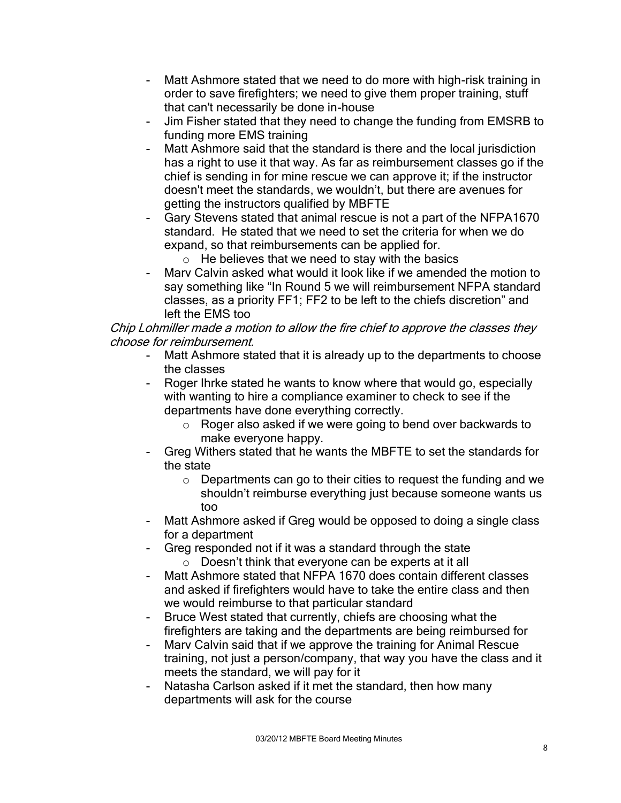- Matt Ashmore stated that we need to do more with high-risk training in order to save firefighters; we need to give them proper training, stuff that can't necessarily be done in-house
- Jim Fisher stated that they need to change the funding from EMSRB to funding more EMS training
- Matt Ashmore said that the standard is there and the local jurisdiction has a right to use it that way. As far as reimbursement classes go if the chief is sending in for mine rescue we can approve it; if the instructor doesn't meet the standards, we wouldn't, but there are avenues for getting the instructors qualified by MBFTE
- Gary Stevens stated that animal rescue is not a part of the NFPA1670 standard. He stated that we need to set the criteria for when we do expand, so that reimbursements can be applied for.
	- $\circ$  He believes that we need to stay with the basics
- Mary Calvin asked what would it look like if we amended the motion to say something like "In Round 5 we will reimbursement NFPA standard classes, as a priority FF1; FF2 to be left to the chiefs discretion" and left the EMS too

Chip Lohmiller made a motion to allow the fire chief to approve the classes they choose for reimbursement.

- Matt Ashmore stated that it is already up to the departments to choose the classes
- Roger Ihrke stated he wants to know where that would go, especially with wanting to hire a compliance examiner to check to see if the departments have done everything correctly.
	- o Roger also asked if we were going to bend over backwards to make everyone happy.
- Greg Withers stated that he wants the MBFTE to set the standards for the state
	- o Departments can go to their cities to request the funding and we shouldn't reimburse everything just because someone wants us too
- Matt Ashmore asked if Greg would be opposed to doing a single class for a department
- Greg responded not if it was a standard through the state
	- o Doesn't think that everyone can be experts at it all
- Matt Ashmore stated that NFPA 1670 does contain different classes and asked if firefighters would have to take the entire class and then we would reimburse to that particular standard
- Bruce West stated that currently, chiefs are choosing what the firefighters are taking and the departments are being reimbursed for
- Marv Calvin said that if we approve the training for Animal Rescue training, not just a person/company, that way you have the class and it meets the standard, we will pay for it
- Natasha Carlson asked if it met the standard, then how many departments will ask for the course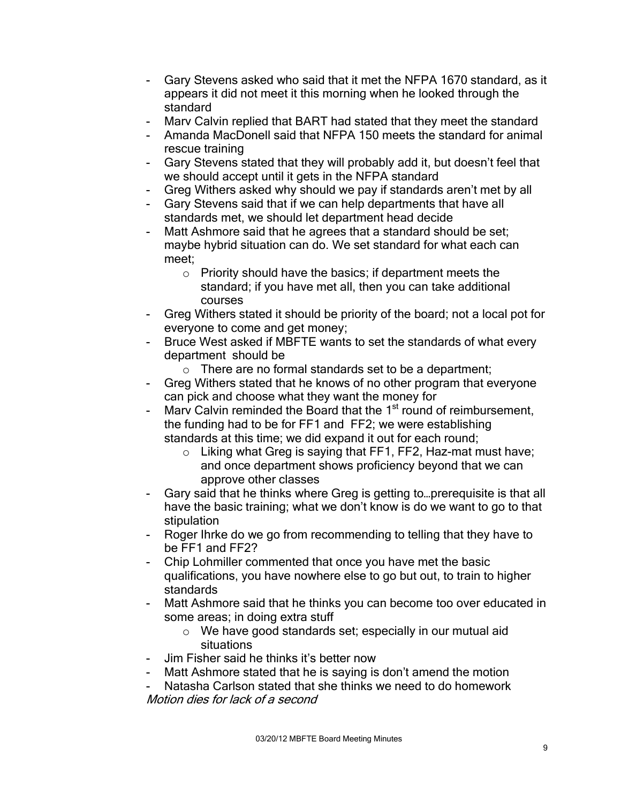- Gary Stevens asked who said that it met the NFPA 1670 standard, as it appears it did not meet it this morning when he looked through the standard
- Marv Calvin replied that BART had stated that they meet the standard
- Amanda MacDonell said that NFPA 150 meets the standard for animal rescue training
- Gary Stevens stated that they will probably add it, but doesn't feel that we should accept until it gets in the NFPA standard
- Greg Withers asked why should we pay if standards aren't met by all
- Gary Stevens said that if we can help departments that have all standards met, we should let department head decide
- Matt Ashmore said that he agrees that a standard should be set; maybe hybrid situation can do. We set standard for what each can meet;
	- o Priority should have the basics; if department meets the standard; if you have met all, then you can take additional courses
- Greg Withers stated it should be priority of the board; not a local pot for everyone to come and get money;
- Bruce West asked if MBFTE wants to set the standards of what every department should be
	- o There are no formal standards set to be a department;
- Greg Withers stated that he knows of no other program that everyone can pick and choose what they want the money for
- Marv Calvin reminded the Board that the 1<sup>st</sup> round of reimbursement, the funding had to be for FF1 and FF2; we were establishing standards at this time; we did expand it out for each round;
	- o Liking what Greg is saying that FF1, FF2, Haz-mat must have; and once department shows proficiency beyond that we can approve other classes
- Gary said that he thinks where Greg is getting to... prerequisite is that all have the basic training; what we don't know is do we want to go to that stipulation
- Roger Ihrke do we go from recommending to telling that they have to be FF1 and FF2?
- Chip Lohmiller commented that once you have met the basic qualifications, you have nowhere else to go but out, to train to higher standards
- Matt Ashmore said that he thinks you can become too over educated in some areas; in doing extra stuff
	- o We have good standards set; especially in our mutual aid situations
- Jim Fisher said he thinks it's better now
- Matt Ashmore stated that he is saying is don't amend the motion
- Natasha Carlson stated that she thinks we need to do homework
- Motion dies for lack of a second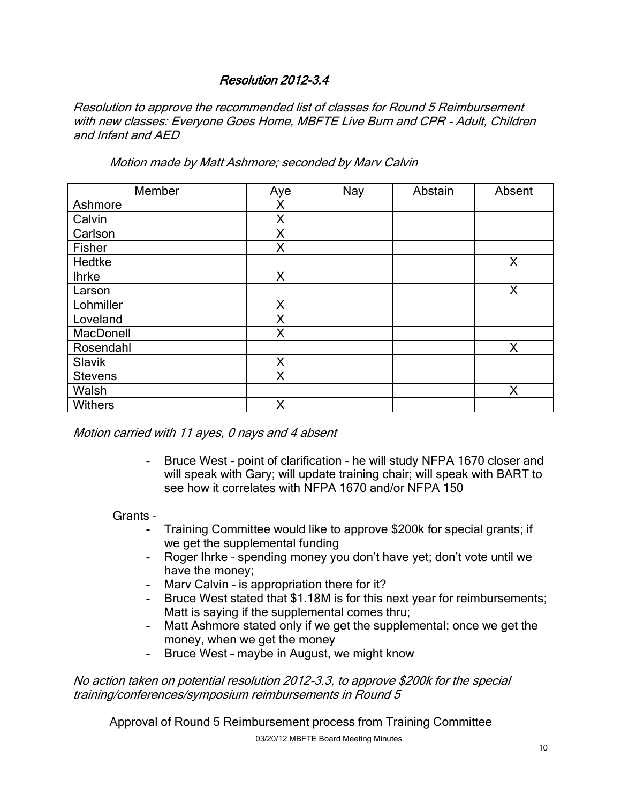# Resolution 2012-3.4

Resolution to approve the recommended list of classes for Round 5 Reimbursement with new classes: Everyone Goes Home, MBFTE Live Burn and CPR - Adult, Children and Infant and AED

Motion made by Matt Ashmore; seconded by Marv Calvin

| Member         | Aye | Nay | Abstain | Absent |
|----------------|-----|-----|---------|--------|
| Ashmore        | Χ   |     |         |        |
| Calvin         | X   |     |         |        |
| Carlson        | Χ   |     |         |        |
| Fisher         | Χ   |     |         |        |
| Hedtke         |     |     |         | X      |
| <b>Ihrke</b>   | X   |     |         |        |
| Larson         |     |     |         | X      |
| Lohmiller      | X   |     |         |        |
| Loveland       | Χ   |     |         |        |
| MacDonell      | Χ   |     |         |        |
| Rosendahl      |     |     |         | X      |
| Slavik         | X   |     |         |        |
| <b>Stevens</b> | Χ   |     |         |        |
| Walsh          |     |     |         | Χ      |
| <b>Withers</b> | Χ   |     |         |        |

Motion carried with 11 ayes, 0 nays and 4 absent

- Bruce West - point of clarification - he will study NFPA 1670 closer and will speak with Gary; will update training chair; will speak with BART to see how it correlates with NFPA 1670 and/or NFPA 150

Grants –

- Training Committee would like to approve \$200k for special grants; if we get the supplemental funding
- Roger Ihrke spending money you don't have yet; don't vote until we have the money;
- Marv Calvin is appropriation there for it?
- Bruce West stated that \$1.18M is for this next year for reimbursements; Matt is saying if the supplemental comes thru;
- Matt Ashmore stated only if we get the supplemental; once we get the money, when we get the money
- Bruce West maybe in August, we might know

No action taken on potential resolution 2012-3.3, to approve \$200k for the special training/conferences/symposium reimbursements in Round 5

03/20/12 MBFTE Board Meeting Minutes Approval of Round 5 Reimbursement process from Training Committee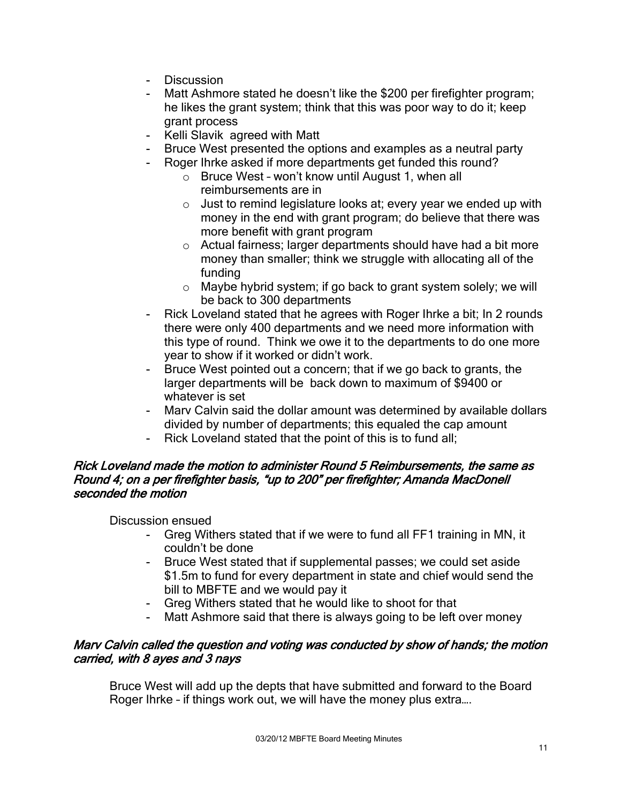- Discussion
- Matt Ashmore stated he doesn't like the \$200 per firefighter program; he likes the grant system; think that this was poor way to do it; keep grant process
- Kelli Slavik agreed with Matt
- Bruce West presented the options and examples as a neutral party
- Roger Ihrke asked if more departments get funded this round?
	- o Bruce West won't know until August 1, when all reimbursements are in
	- $\circ$  Just to remind legislature looks at; every year we ended up with money in the end with grant program; do believe that there was more benefit with grant program
	- o Actual fairness; larger departments should have had a bit more money than smaller; think we struggle with allocating all of the funding
	- o Maybe hybrid system; if go back to grant system solely; we will be back to 300 departments
- Rick Loveland stated that he agrees with Roger Ihrke a bit; In 2 rounds there were only 400 departments and we need more information with this type of round. Think we owe it to the departments to do one more year to show if it worked or didn't work.
- Bruce West pointed out a concern; that if we go back to grants, the larger departments will be back down to maximum of \$9400 or whatever is set
- Marv Calvin said the dollar amount was determined by available dollars divided by number of departments; this equaled the cap amount
- Rick Loveland stated that the point of this is to fund all;

## Rick Loveland made the motion to administer Round 5 Reimbursements, the same as Round 4; on a per firefighter basis, "up to 200" per firefighter; Amanda MacDonell seconded the motion

Discussion ensued

- Greg Withers stated that if we were to fund all FF1 training in MN, it couldn't be done
- Bruce West stated that if supplemental passes; we could set aside \$1.5m to fund for every department in state and chief would send the bill to MBFTE and we would pay it
- Greg Withers stated that he would like to shoot for that
- Matt Ashmore said that there is always going to be left over money

## Marv Calvin called the question and voting was conducted by show of hands; the motion carried, with 8 ayes and 3 nays

Bruce West will add up the depts that have submitted and forward to the Board Roger Ihrke – if things work out, we will have the money plus extra….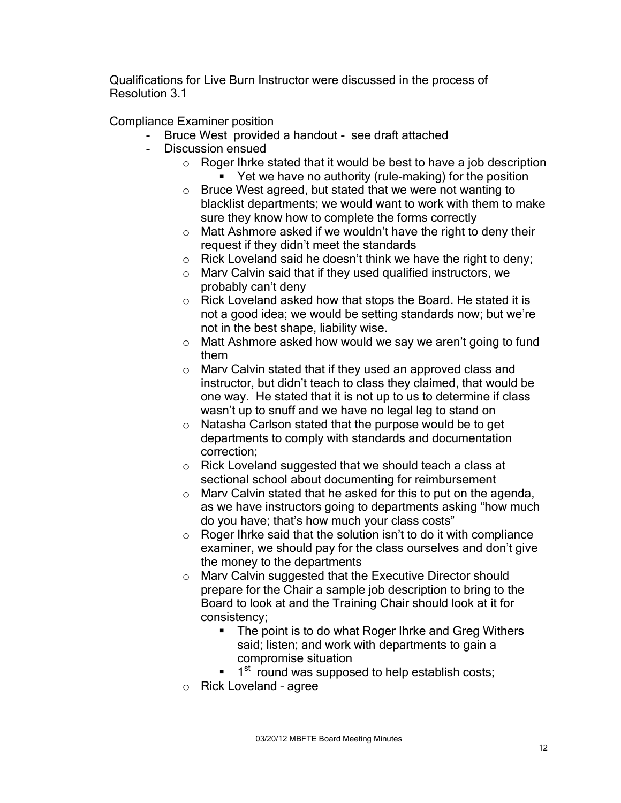Qualifications for Live Burn Instructor were discussed in the process of Resolution 3.1

Compliance Examiner position

- Bruce West provided a handout see draft attached
- Discussion ensued
	- o Roger Ihrke stated that it would be best to have a job description ■ Yet we have no authority (rule-making) for the position
	- o Bruce West agreed, but stated that we were not wanting to blacklist departments; we would want to work with them to make sure they know how to complete the forms correctly
	- o Matt Ashmore asked if we wouldn't have the right to deny their request if they didn't meet the standards
	- $\circ$  Rick Loveland said he doesn't think we have the right to deny;
	- o Marv Calvin said that if they used qualified instructors, we probably can't deny
	- o Rick Loveland asked how that stops the Board. He stated it is not a good idea; we would be setting standards now; but we're not in the best shape, liability wise.
	- o Matt Ashmore asked how would we say we aren't going to fund them
	- o Marv Calvin stated that if they used an approved class and instructor, but didn't teach to class they claimed, that would be one way. He stated that it is not up to us to determine if class wasn't up to snuff and we have no legal leg to stand on
	- o Natasha Carlson stated that the purpose would be to get departments to comply with standards and documentation correction;
	- o Rick Loveland suggested that we should teach a class at sectional school about documenting for reimbursement
	- o Marv Calvin stated that he asked for this to put on the agenda, as we have instructors going to departments asking "how much do you have; that's how much your class costs"
	- $\circ$  Roger Ihrke said that the solution isn't to do it with compliance examiner, we should pay for the class ourselves and don't give the money to the departments
	- o Marv Calvin suggested that the Executive Director should prepare for the Chair a sample job description to bring to the Board to look at and the Training Chair should look at it for consistency;
		- The point is to do what Roger Ihrke and Greg Withers said; listen; and work with departments to gain a compromise situation
		- $\blacksquare$  1<sup>st</sup> round was supposed to help establish costs;
	- o Rick Loveland agree